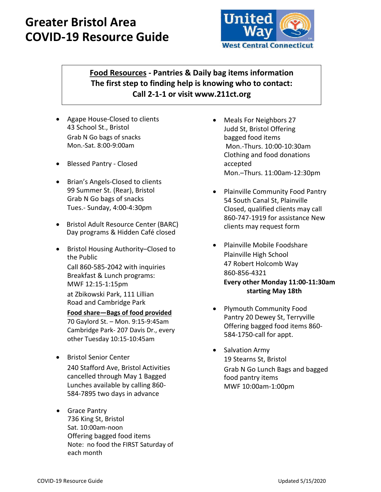# **Greater Bristol Area COVID-19 Resource Guide**



**Food Resources - Pantries & Daily bag items information The first step to finding help is knowing who to contact: Call 2-1-1 or visit www.211ct.org**

- Agape House-Closed to clients 43 School St., Bristol Grab N Go bags of snacks Mon.-Sat. 8:00-9:00am
- Blessed Pantry Closed
- Brian's Angels-Closed to clients 99 Summer St. (Rear), Bristol Grab N Go bags of snacks Tues.- Sunday, 4:00-4:30pm
- Bristol Adult Resource Center (BARC) Day programs & Hidden Café closed
- Bristol Housing Authority–Closed to the Public Call 860-585-2042 with inquiries Breakfast & Lunch programs: MWF 12:15-1:15pm at Zbikowski Park, 111 Lillian Road and Cambridge Park **Food share—Bags of food provided**

70 Gaylord St. – Mon. 9:15-9:45am Cambridge Park- 207 Davis Dr., every other Tuesday 10:15-10:45am

- Bristol Senior Center 240 Stafford Ave, Bristol Activities cancelled through May 1 Bagged Lunches available by calling 860- 584-7895 two days in advance
- Grace Pantry 736 King St, Bristol Sat. 10:00am-noon Offering bagged food items Note: no food the FIRST Saturday of each month
- Meals For Neighbors 27 Judd St, Bristol Offering bagged food items Mon.-Thurs. 10:00-10:30am Clothing and food donations accepted Mon.–Thurs. 11:00am-12:30pm
- Plainville Community Food Pantry 54 South Canal St, Plainville Closed, qualified clients may call 860-747-1919 for assistance New clients may request form
- Plainville Mobile Foodshare Plainville High School 47 Robert Holcomb Way 860-856-4321  **Every other Monday 11:00-11:30am starting May 18th**
- Plymouth Community Food Pantry 20 Dewey St, Terryville Offering bagged food items 860- 584-1750-call for appt.
- Salvation Army 19 Stearns St, Bristol Grab N Go Lunch Bags and bagged food pantry items MWF 10:00am-1:00pm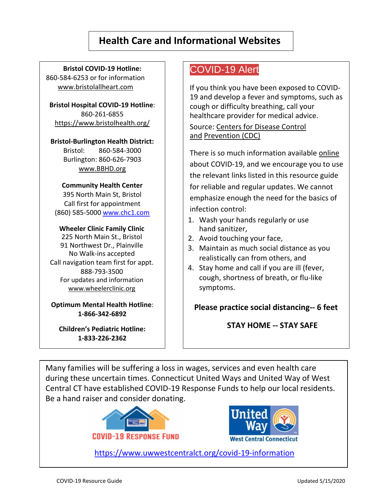# **Health Care and Informational Websites**

**Bristol COVID-19 Hotline:** 860-584-6253 or for information www.bristolallheart.com

**Bristol Hospital COVID-19 Hotline**: 860-261-6855 <https://www.bristolhealth.org/>

**Bristol-Burlington Health District:** Bristol: 860-584-3000 Burlington: 860-626-7903 www.BBHD.org

#### **Community Health Center**

395 North Main St, Bristol Call first for appointment (860) 585-5000 [www.chc1.com](http://www.chc1.com/)

#### **Wheeler Clinic Family Clinic**

225 North Main St., Bristol 91 Northwest Dr., Plainville No Walk-ins accepted Call navigation team first for appt. 888-793-3500 For updates and information [www.wheelerclinic.org](http://www.wheelerclinic.org/covid-19)

**Optimum Mental Health Hotline**: **1-866-342-6892**

**Children's Pediatric Hotline: 1-833-226-2362**

## COVID-19 Alert

If you think you have been exposed to COVID-19 and develop a fever and symptoms, such as cough or difficulty breathing, call your healthcare provider for medical advice. Source: [Centers for Disease Control](https://www.cdc.gov/coronavirus/2019-ncov/if-you-are-sick/steps-when-sick.html) 

[and](https://www.cdc.gov/coronavirus/2019-ncov/if-you-are-sick/steps-when-sick.html) [Prevention \(](https://www.cdc.gov/coronavirus/2019-ncov/if-you-are-sick/steps-when-sick.html)CDC)

There is so much information available [online](https://www.wheelerclinic.org/news/covid-19) about COVID-19, and we encourage you to use the relevant links listed in this resource guide for reliable and regular updates. We cannot emphasize enough the need for the basics of infection control:

- 1. Wash your hands regularly or use hand sanitizer,
- 2. Avoid touching your face,
- 3. Maintain as much social distance as you realistically can from others, and
- 4. Stay home and call if you are ill (fever, cough, shortness of breath, or flu-like symptoms.

**Please practice social distancing-- 6 feet**

**STAY HOME -- STAY SAFE**

Many families will be suffering a loss in wages, services and even health care during these uncertain times. Connecticut United Ways and United Way of West Central CT have established COVID-19 Response Funds to help our local residents. Be a hand raiser and consider donating.





<https://www.uwwestcentralct.org/covid-19-information>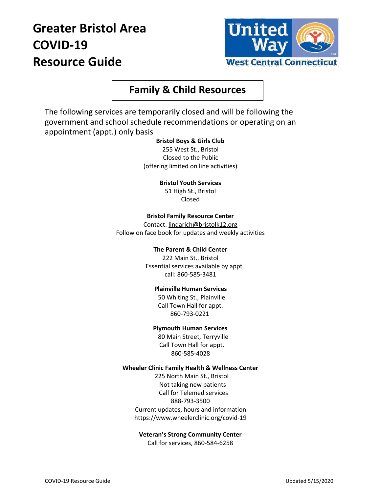# **Greater Bristol Area COVID-19 Resource Guide**



## **Family & Child Resources**

The following services are temporarily closed and will be following the government and school schedule recommendations or operating on an appointment (appt.) only basis

#### **Bristol Boys & Girls Club**

255 West St., Bristol Closed to the Public (offering limited on line activities)

**Bristol Youth Services**

51 High St., Bristol Closed

#### **Bristol Family Resource Center**

Contact[: lindarich@bristolk12.org](mailto:lindarich@bristolk12.org) Follow on face book for updates and weekly activities

#### **The Parent & Child Center**

222 Main St., Bristol Essential services available by appt. call: 860-585-3481

#### **Plainville Human Services**

50 Whiting St., Plainville Call Town Hall for appt. 860-793-0221

#### **Plymouth Human Services**

80 Main Street, Terryville Call Town Hall for appt. 860-585-4028

#### **Wheeler Clinic Family Health & Wellness Center**

225 North Main St., Bristol Not taking new patients Call for Telemed services 888-793-3500 Current updates, hours and information https://www.wheelerclinic.org/covid-19

### **Veteran's Strong Community Center**

Call for services, 860-584-6258